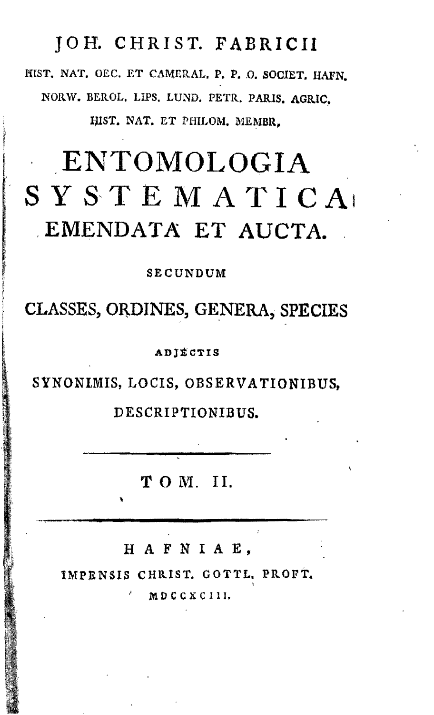### JOH. CHRIST. FABRICII

MIST. NAT. OEC. ET CAMERAL. P. P. O. SOCIET. HAFN. NORW. BEROL. LIPS. LUND» PETR. PARIS. AGRIC. IJIST. NAT. ET PHILOM. MEMBR,

# ENTOMOLOGIA  $S Y S T E M A T I C A$ EMENDATA ET AUCTA.

SECUNDUM

CLASSES, ORDINES, GENERA, SPECIES

ADjfiCTIS

SYNONIMIS, LOCIS, OBSERVATIONIBUS,

DESCRIPTIONIBUS.

T O M. II.

*i,* H A F N I A E ,

• IMPENSIS CHRIST. GOTTL. PROFt. ;|. ' M 0 C C X C 111.

**r** 

i

:\_•&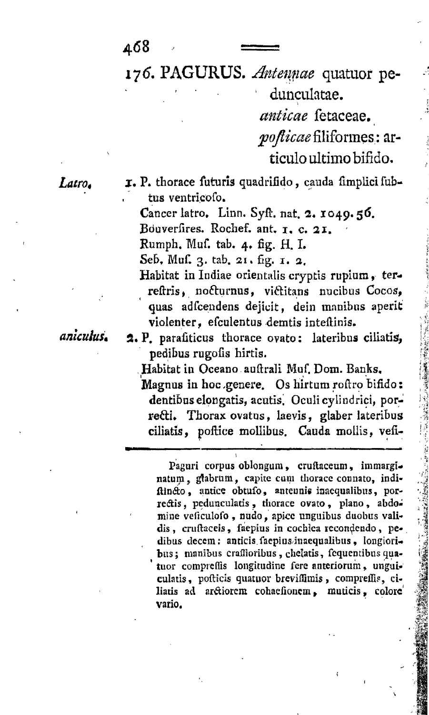463

*iy6.* PAGURUS. *Antenme* quatuor pe-

dunculatae. *anticae* fetaceae. po*fticae* filiformes: artieulo ultimo bifido.

Latro. T. P. thorace futuris quadrifido, cauda fimplici fubtus ventricofo.

> Cancer latro, Linn. Syft. nat.  $2.1049.56$ . Bouverfires. Rochef. ant. 1. c. 21. Rumph. Muf. tab. 4, fig. H. I.

Seb. Muf. 3. tab. 21. fig. *1.* a.

Habitat in Indiae orientalis cryptis rupium, terreftris» nofturaus, viftitans nucibus Cocos, quas adfcendens dejicit, dein manibus aperit violenter, efculentus demtis inteftinis.

*amculuSt* 2, P, parafiticus thorace ovato: lateribus ciliatis, pedibus rugofis hirtis.

Habitat in Oceano auftrali Muf. Dom. Banks.

Magnus in hoc ,genere. Os hirtum roftro bifido: dentibus elongatis, acutis. Oculi cylindrici, porrecti. Thorax ovatus, laevis, glaber lateribus ciliatis, poftice mollibus. Cauda mollis, vefi-

Paguri corpus oblongum, cruftaceum, immarginatum, glabrum, capite cum thorace connato, indiftincto, antice obtufo, anteunis inaequalibus, porrectis, pedunculatis, thorace ovato, plano, abdomine veficulofo, nudo, apice unguibus duobus validis, cruftaceis, faepius in cochlea recondendo, pedibus decem: anticis.faepiusinaequalibus, Iongioribus; manibus craffioribus, chelatis, fequentibus quatuor compreffis longitudine fere anteriorum, unguiculatis, pofticis quatuor breviffimis, compreffis, ciliatis ad arctiorem cohaefionem, muticis, colore' vario.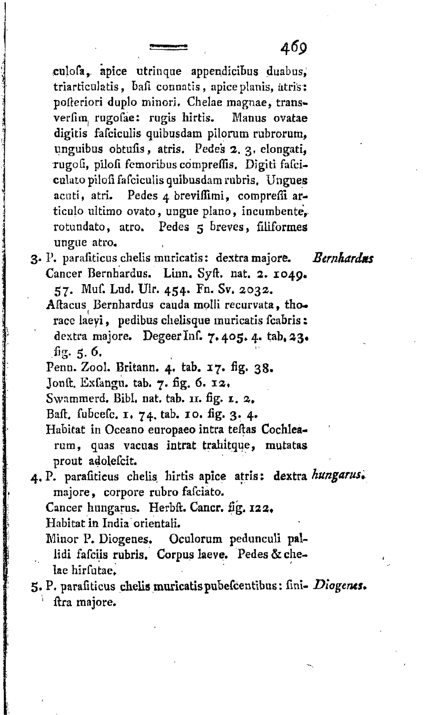culofa, apice utrinque appendicibus duabus, triarticulatis, bafi connatis, apice planis, atris: pofteriori duplo minori. Chelae magnae, transverfim, rugofae: rugis hirtis. Manus ovatae digitis fafcieulis quibusdam plloram rubrorum, unguibus obtufis, atris. Pedes 2, 3, elongati, rugofi, pilofi femoribus compreffis. Digiti fafcicalato pilofi fafciculis quibusdam rubris, Ungues acuti, atri. Pedes 4 breviffimi, compreffi articulo ultimo ovato, ungue plano, incumbente, rotundato, atro. Pedes 5 breves, filiformes ungne atro.

- 3. P. parafiticus chelis muricatis: dextra majore. *Bernhardus* Cancer Bernhardus. Linn. Syft. nat. 2. 1049. 57. Muf. Lud. Ulr. 454. Fn. Sv. 2032.
	- Aftacus Bernhardus cauda molli recurvata, thorace laeyi, pedibus chelisque muricatis fcabris: dextra majore. Degeer Inf. 7.405.4. tab. 23. .fig. 5. 6.
	- Penn. Zool. Britann. 4. tab. 17. fig. 38.
	- Jonft. Exfangu. tab. 7. fig. *6.* 12,
	- Swammerd. Bibl. nat. tab. 11. fig. *1.* »,
	- Baft. fubcefc. 1, 74. tab. 10. fig. 3. 4.

Habitat in Oceano europaeo intra teftas Cochlearum, quas vacuas intrat trahitque, mutatas prout adolefcit.

- 4» P. parafiticus chelis hirtis apice atris; dextra *kungarus\**  majore» corpore rubro fafciato.
	- Cancer hungarus. Herbft. Cancr. fig. 123»
	- Habitat in India orientali.
	- Minor P. Diogenes. Oculorum pedunculi pal-
	- lidi fafciis rubris. Corpus laeve. Pedes & chelae hirfutae.
- 5. P. parafiticus chelis muricatispuBefcentibus: fmi- *Diogems»*  ' ftra majore.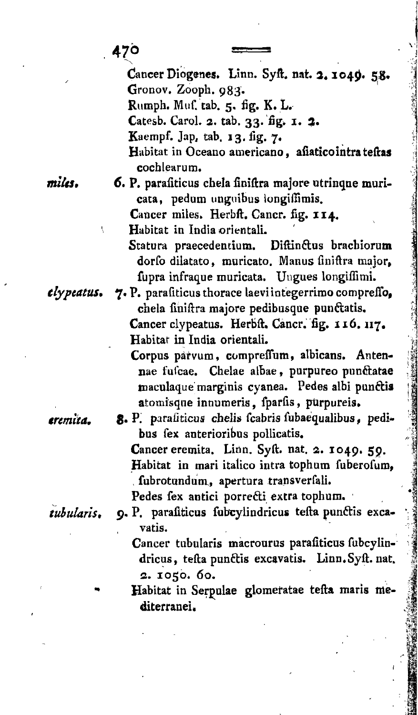Cancer Diogenes. Linn. Syft. nat. 2. 1049. 58. Gronov. Zooph. 983. Rumph. Muf. cab. 5. fig. K. L. Catesb. Carol. 2. tab. 33. fig. 1. 2. Kaempf. Jap, tab. 13. fig. 7, Habitat in Oceano americano, afiaticointrateftas cochlearum.

*mitts,* 6. P. parafiticus chela finiftra majore utrinqne muricata, pedum unguibus longiffimis. Cancer miles. Herbft. Cancr. fig. 114.

Habitat in India orientali.

- Statura praecedentium. Diftinctus brachiorum dorfo dilatato, muricato. Manus finiftra major, fupra infraque muricata. Ungues longiflimi.
- *tlypeatUS\** 7\* P\* parafiticus thorace laeviintegerrimo compreflb, chela finiftra majore pedibusque punftatis. Cancer clypeatus. Herbft. Cancr. fig. 116. 117. Habitar in India orientali.
	- Corpus parvum, compreffum, albicans. Antennae fufcae. Chelae albae, purpureo punftatae maculaque marginis cyanea. Pedes albi punctis atomisque innumeris, fparfis, purpureis.

*tremita.* 8« P. parafiticus cheJis fcabris fubaequalibus, pedibus fex anterioribus pollicatis. Cancer eremita. Linn. Syft. nat. 2. 1049. 59. Habitat in mari italico intra tophum fuberofum, , fubrotundum, apertura transverfali.

Pedes fex antici porrecti extra tophum.

- tubularis. 9. P. parafiticus fubcylindricus tefta punctis excavatis.
	- Cancer tubularis macrourus parafiticus fubcylindricus, tefta punftis excavatis. Linn.Syft. nat. **2. 1050. 60.**
	- Habitat in Serpulae glomeratae tefta maris mediterranei.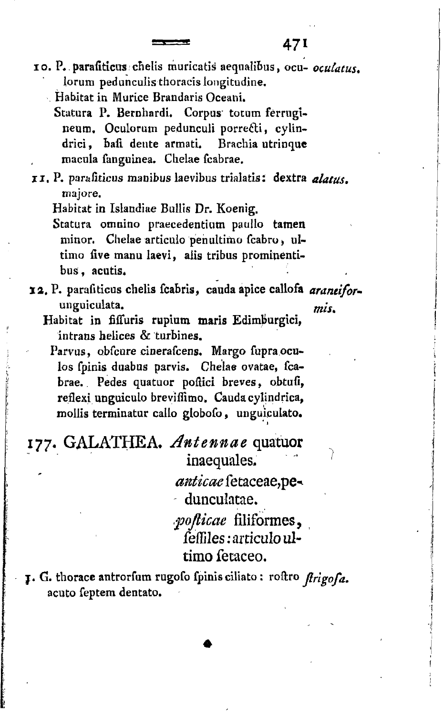i o . P.parafiticus chelis muricatis aequalibus, ocu- *ocutatus.*  lorum pedunculis thoracis longitudine.

- Habitat in Murice Brandaris Oceani.
	- Statura P. Bernhardi. Corpus totum ferrugineum. Oculorum pedunculi porrecti, cylindrici, bafi dente armati. Brachia utrinque macula fanguinea. Chelae fcabrae.

i i . P. parafiticus manibus laevibus trialatis: dextra *alatus.*  majore.

Habitat in Islandiae Bullis Dr. Koenig.

Statura omnino praecedentium paullo tamen minor. Chelae articulo pehultimo fcabro, ultimo five manu laevi, aiis tribus prominentibus, acutis.

- 12. P. parafiticus chetis fcabris, cauda apice caliofa *araneifor*unguiculata. *mis%* 
	- Habitat in fiffuris rupium maris Edimburgici, intrans helices & turbines.

Parvus, obfcure cinerafcens. Margo fupra oculos fpinis duabus parvis. Chelae ovatae, fcabrae. Pedes quatuor poftici breves, obtufi, reflexi unguiculo breviflimo. Caudacylindrica, mollis terminatur callo globofo, unguiculato.

#### 177. GALATHEA. *Antennae* quatuor inaequales,

*anticae* fetaceae,pe^ dunculatae.

*fojticae* filiformes,  $f$ effiles: articuloultimo fetaceo.

#### *<sup>j</sup> . G.* thorace antrorfum rugofo fpinis ciliato: roftro *ftrigofa.*  acuto feptem dentato.

**\***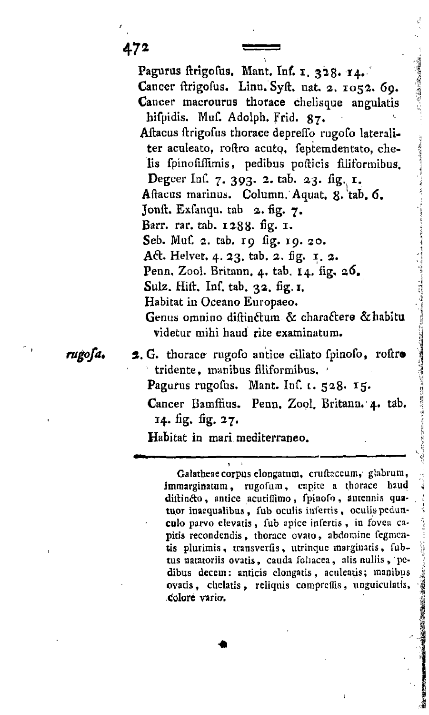472

Pagurus ftrigofus. Mant. Inf. 1, 328. 14. Cancer ftrigofus. Linn. Syft. nat. 2. 1052. *69.*  Cancer macrourus thorace chelisque angulatis hifpidis. Muf. Adolph. Frid. 87, Aftacus ftrigofus thorace depreffo rugofo lateraliter aculeato, roftro acuto, feptemdentato, chelis fpinofiffimis, pedibus pofticis filiformibus. Degeer Inf. 7. 393. 2. tab. 23. fig. 1. Aftacus marinus. Column. Aquat, 8. tab. 6. Jonft. Exfanqu. tab 2. fig. 7. Barr. rar. tab. 1288. fig. 1. Seb. Muf. 2. tab. 19 fig. 19. 30. Aft. Helvet. 4. 23. tab. 2. fig. 1. 2. Penn, Zool. Britann. 4. tab. 14. fig. 26. Sulz. Hift. Inf. tab. 32. fig. 1. Habitat in Oceano Europaeo. Genus omnino diftinctum & charactere & habitu videtur mihi haud rite examinatum.

rugofa.

2. G. thorace rugofo antice ciliato fpinofo, roftro tridente, manibus filiformibus. ' Pagurus rugofus. Mant. Inf. t. 528. 15. Cancer Bamffius. Penn. Zool. Britann. 4. tab. 14. fig. fig. 27.

Habitat in mari mediterraneo.

Galatbeaecorpuselongatum, cruftaccum, glabrum, immarginatum, rugofum, capite a thoracc haud diftincto, antice acutiffimo, fpinofo, antennis quatuor inaequalibus, fub oculis infertis, oculis pedunculo parvo elevatis , fub apice infertis , in fovea capitis recondendis, thorace ovato, abdoraine fegmcutis plurimis, transverfis, utrinque margiuatis, fubtus natatoriis ovatis, cauda foliacea, alis nullis , pcdibus decem: anticis elongatis, aculeatis; manibus ovatis, chelatis , reliquis comprcflis, unguicuiatis, colore vario.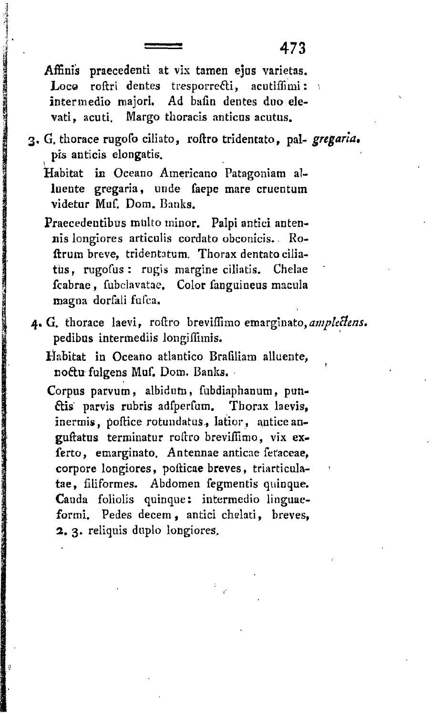Affinis praecedenti at vix tamen ejus varietas. Loco roftri dentes tresporrecti, acutiffimi: intermedio majori. Ad bafin dentes duo elevati, acuti. Margo thoracis anticus acutus.

3, G. thorace rugofo ciliato, roftro tridentato, pal- *gregaria,*  pis anticis elongatis.

Habitat in Oceano Americano Patagoniam alluente gregaria, unde faepe mare cruentum videtur Muf. Dom. Banks.

Praecedentibus multo minor. Palpi antici antennis longiores articuiis cordato obconicis. Roftrum breve, tridentatum. Thorax dentato ciliatus, rugofus : rugis margine ciliatis. Chelae fcabrae, fubclavatae. Color fanguineus macula magna dorfali fufca.

4. G. thorace laevi, roftro breviffimo emarginato, amplectens. pedibus intermediis longiflimis.

Habitat in Oceano atlantico Brafiliam alluente, noftu fulgens Muf. Dom. Banks.

Corpus parvum, albidurn, fubdiaphanum, pun- £tis parvis rubris adfperfum. Thorax laevis, inermis, poftice rotundatus., latior, anticeanguftatus terminatur roftro brevifllmo, vix exferto, emarginato. Antennae anticae fetaceae, corpore longiores, pofticae breves, triarticulatae, filiformes. Abdomen fegmentis quinque. Cauda foliolis quinque: intermedio linguaeformi. Pedes decem, antici chelati, breves, *1,* 3. reliquis duplo longiores.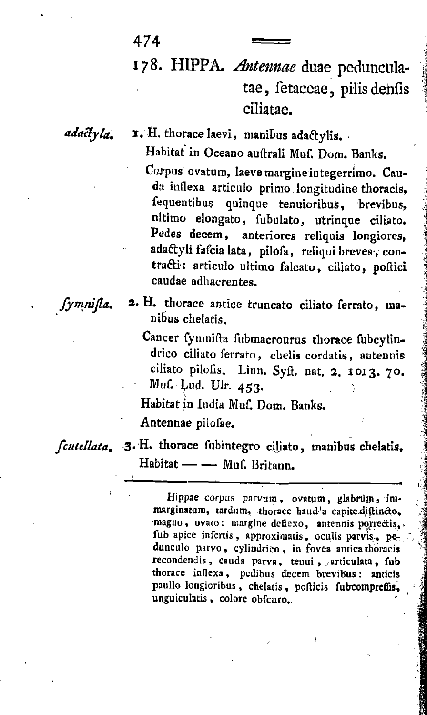## 178. HIPPA. *Antennae* duae pedunculatae, fetaceae, pilis denfis ciliatae.

474

adactyla. I. H. thorace laevi, manibus adactylis. Habitat in Oceano auftrali Muf. Dom. Banks.

> Carpus ovatum, laevemargineintegerrimo. Cauda inflexa articulo primo longitudine thoracis, fequentibus quinque tenuioribus, brevibus, tiltimo elongato, fubulato, utrinque ciliato. Pedes decem, anteriores reliquis longiores, adactyli fafcia lata, pilofa, reliqui breves, contra&i: articulo ultimo falcato, ciliato, poftici caudae adhaerentes.

*Jymnijia.*<sup>a</sup>

2. H. thorace antice truncato ciliato ferrato, manibus chelatis.

Cancer fymnifta fubmacrourus thorace fubcylindrico ciliato ferrato, chelis cordatis, antennis, ciliato pilofis. Linn. Syft. nat. *2.* 1013. 70. Muf. Lud. Ulr.  $453$ .

Habitat in India Muf. Dom. Banks.

Antennae pilofae. '

*fcutellata.* 3. H. thorace fubintegro ciliato, manibus chelatis. Habitat — — Muf. Britann.

> Hippae corpus parvum, ovatum, glabrum, immarginatum, tardum, thorace haud'a capite.diftincto, magno, ovato: margine dcfiexo, antennis porreftis, fub apice infertis, approximatis, oculis parvis, pedunculo parvo, cylindrico, in fovea anticathoracis recondendis, cauda parva, teuui , /articulata, fub thorace inflexa, pedibus decem brevibus: anticis paullo longioribus, chelatis , pofticis fubcompreffis, unguiculatis, colore obfcuro.,